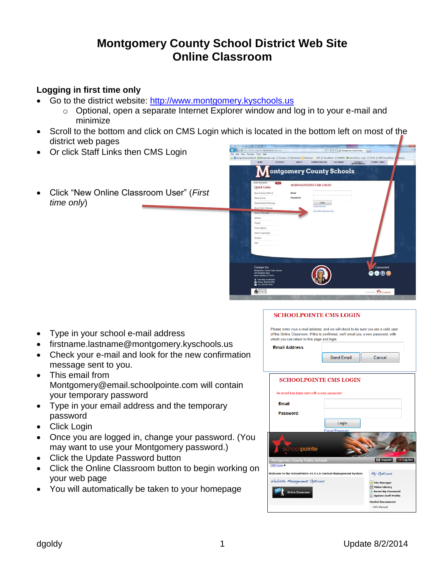# **Montgomery County School District Web Site Online Classroom**

# **Logging in first time only**

- Go to the district website: [http://www.montgomery.kyschools.us](http://www.montgomery.kyschools.us/)
	- o Optional, open a separate Internet Explorer window and log in to your e-mail and minimize
- Scroll to the bottom and click on CMS Login which is located in the bottom left on most of the district web pages
- Or click Staff Links then CMS Login
- Click "New Online Classroom User" (*First time only*)



COTTOOI DOINTE CMC LOCIN

- Type in your school e-mail address
- firstname.lastname@montgomery.kyschools.us
- Check your e-mail and look for the new confirmation message sent to you.
- This email from Montgomery@email.schoolpointe.com will contain your temporary password
- Type in your email address and the temporary password
- Click Login
- Once you are logged in, change your password. (You may want to use your Montgomery password.)
- Click the Update Password button
- Click the Online Classroom button to begin working on your web page
- You will automatically be taken to your homepage

| SUHUULEUIN LE UNS LUGIN                                                                                                                                                                                                    |                                           |
|----------------------------------------------------------------------------------------------------------------------------------------------------------------------------------------------------------------------------|-------------------------------------------|
| Please enter your e-mail address, and we will check to be sure you are a valid user<br>of the Online Classroom. If this is confirmed, we'll email you a new password, with<br>which you can return to this page and login. |                                           |
| <b>Email Address</b>                                                                                                                                                                                                       |                                           |
| Send Email                                                                                                                                                                                                                 | Cancel                                    |
| <b>SCHOOLPOINTE CMS LOGIN</b>                                                                                                                                                                                              |                                           |
| An email has been sent with a new password!                                                                                                                                                                                |                                           |
| Email                                                                                                                                                                                                                      |                                           |
| Password:                                                                                                                                                                                                                  |                                           |
| Login                                                                                                                                                                                                                      |                                           |
| <b>Forgot Password</b><br>school <b>pointe</b>                                                                                                                                                                             |                                           |
| Montgomery County Public Schools<br>CMS Home $\bullet$                                                                                                                                                                     | <b>C</b> Support<br>Log Out               |
| Welcome to the SchoolPointe v3.4.1.6 Content Management System.                                                                                                                                                            | My Options                                |
| Website Management Options                                                                                                                                                                                                 | <b>File Manager</b>                       |
|                                                                                                                                                                                                                            | Video Library                             |
| <b>Online Classroom</b>                                                                                                                                                                                                    | Reset My Password<br>Update Staff Profile |
|                                                                                                                                                                                                                            | <b>Useful Documents</b>                   |
|                                                                                                                                                                                                                            | CMS Manual                                |
|                                                                                                                                                                                                                            |                                           |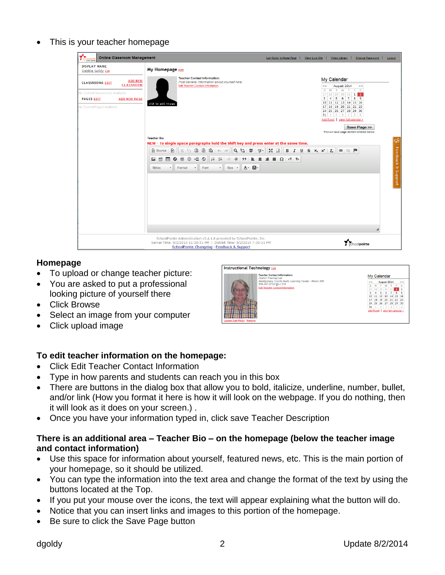This is your teacher homepage

| <b>Online Classroom Management</b><br>CMS home                                                                                                                                   |                                                                                                                                                                                                                                                                                                                                                                                                                                                                                                                                                                                                                                                | View Live Site<br>Video Library<br>Change Password<br>Lori Goldy 's Home Page<br>Logout                                                                                                                                                                                                                                                                                                                                                                                 |
|----------------------------------------------------------------------------------------------------------------------------------------------------------------------------------|------------------------------------------------------------------------------------------------------------------------------------------------------------------------------------------------------------------------------------------------------------------------------------------------------------------------------------------------------------------------------------------------------------------------------------------------------------------------------------------------------------------------------------------------------------------------------------------------------------------------------------------------|-------------------------------------------------------------------------------------------------------------------------------------------------------------------------------------------------------------------------------------------------------------------------------------------------------------------------------------------------------------------------------------------------------------------------------------------------------------------------|
| <b>DISPLAY NAME</b><br>Debbie Goldy Edit                                                                                                                                         | My Homepage Edit                                                                                                                                                                                                                                                                                                                                                                                                                                                                                                                                                                                                                               |                                                                                                                                                                                                                                                                                                                                                                                                                                                                         |
| <b>ADD NEW</b><br><b>CLASSROOMS EDIT</b><br><b>CLASSROOM</b><br><b>Vo Current Classrooms Available</b><br><b>PAGES EDIT</b><br><b>ADD NEW PAGE</b><br>No Current Pages Available | <b>Teacher Contact Information:</b><br>Post General Information about yourself here.<br><b>Edit Teacher Contact Information</b><br>click to add image<br><b>Teacher Bio</b><br>NEW - To single space paragraphs hold the Shift key and press enter at the same time.<br>9 第 章<br>G G<br>$\boxed{a}$ $\land$ $\land$<br>$\frac{AB}{2}$<br>Source<br>⊟<br>$\triangleright$<br>$\chi$<br>瞥<br>$\equiv$<br>$E \odot$<br>$_{\odot}$<br>$\frac{1}{2}$ $\frac{1}{2}$ $\frac{1}{2}$<br>$\overline{\mathbf{r}}$<br>畺<br>$\bullet$<br>E<br>$\circ$<br>$A -$<br>Format<br>Font<br>Size -<br><b>Styles</b><br>$\star$<br>$\check{}$<br>$\scriptstyle\rm v$ | My Calendar<br>August 2014<br>kk.<br>$\geq$ $>$<br>S M T W<br>T<br>$F-S$<br>27 28 29 30 31 1 2<br>3<br>$\vert$ 4<br>5 6 7 8 9<br>10 11 12 13 14 15 16<br>17 18 19 20 21 22 23<br>24 25 26 27 28 29 30<br>31 1 2 3 4 5 6<br>Add Event   view full calendar ><br>Save Page >><br>This will save page content entered below.<br>$\mathbb{C}$<br>Feedback & Support<br>$\mathbb{R}$ and<br>$\bullet$ $\bullet$ $\blacksquare$<br>B $I \cup S$ $x_a$ $x^a$ $\vert I_x \vert$ |
|                                                                                                                                                                                  | SchoolPointe Administration v3.4.1.6 provided by SchoolPointe, Inc.<br>Server Time: 8/2/2014 11:30:51 PM   District Time: 8/2/2014 7:30:51 PM<br>SchoolPointe Changelog   Feedback & Support                                                                                                                                                                                                                                                                                                                                                                                                                                                   | schoolpointe                                                                                                                                                                                                                                                                                                                                                                                                                                                            |

# **Homepage**

- To upload or change teacher picture:
- You are asked to put a professional looking picture of yourself there
- Click Browse
- Select an image from your computer
- Click upload image



# **To edit teacher information on the homepage:**

- Click Edit Teacher Contact Information
- Type in how parents and students can reach you in this box
- There are buttons in the dialog box that allow you to bold, italicize, underline, number, bullet, and/or link (How you format it here is how it will look on the webpage. If you do nothing, then it will look as it does on your screen.) .
- Once you have your information typed in, click save Teacher Description

# **There is an additional area – Teacher Bio – on the homepage (below the teacher image and contact information)**

- Use this space for information about yourself, featured news, etc. This is the main portion of your homepage, so it should be utilized.
- You can type the information into the text area and change the format of the text by using the buttons located at the Top.
- If you put your mouse over the icons, the text will appear explaining what the button will do.
- Notice that you can insert links and images to this portion of the homepage.
- Be sure to click the Save Page button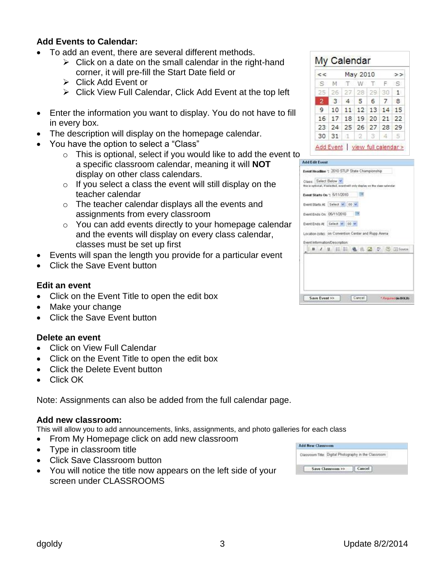# **Add Events to Calendar:**

- To add an event, there are several different methods.
	- $\triangleright$  Click on a date on the small calendar in the right-hand corner, it will pre-fill the Start Date field or
	- Click Add Event or
	- $\triangleright$  Click View Full Calendar, Click Add Event at the top left
- Enter the information you want to display. You do not have to fill in every box.
- The description will display on the homepage calendar.
- You have the option to select a "Class"
	- $\circ$  This is optional, select if you would like to add the event to a specific classroom calendar, meaning it will **NOT** display on other class calendars.
	- $\circ$  If you select a class the event will still display on the teacher calendar
	- o The teacher calendar displays all the events and assignments from every classroom
	- o You can add events directly to your homepage calendar and the events will display on every class calendar, classes must be set up first
- Events will span the length you provide for a particular event
- Click the Save Event button

## **Edit an event**

- Click on the Event Title to open the edit box
- Make your change
- Click the Save Event button

## **Delete an event**

- Click on View Full Calendar
- Click on the Event Title to open the edit box
- Click the Delete Event button
- Click OK

Note: Assignments can also be added from the full calendar page.

## **Add new classroom:**

This will allow you to add announcements, links, assignments, and photo galleries for each class

- From My Homepage click on add new classroom
- Type in classroom title
- Click Save Classroom button
- You will notice the title now appears on the left side of your screen under CLASSROOMS

| <<           |                               |                   | May 2010 |  | > |
|--------------|-------------------------------|-------------------|----------|--|---|
|              | SMTWTFS                       |                   |          |  |   |
|              | 25 26 27 28 29 30 1           |                   |          |  |   |
| 2            | 3 4 5 6 7 8                   |                   |          |  |   |
| $\mathbf{q}$ |                               | 10 11 12 13 14 15 |          |  |   |
|              | 16 17 18 19 20 21 22          |                   |          |  |   |
|              | 23 24 25 26 27 28 29          |                   |          |  |   |
|              | $30 \ 31 \ 1 \ 2 \ 3 \ 4 \ 5$ |                   |          |  |   |

| Event Headline + 2010 STLP State Championship                                |  |  |  |  |                                         |
|------------------------------------------------------------------------------|--|--|--|--|-----------------------------------------|
|                                                                              |  |  |  |  |                                         |
| Class: Select Below M                                                        |  |  |  |  |                                         |
| this is optional, if salected, event will only display on the class salendar |  |  |  |  |                                         |
| Event Starts On : 5/11/2010                                                  |  |  |  |  |                                         |
| Event Starts At Select M : 00 W                                              |  |  |  |  |                                         |
|                                                                              |  |  |  |  |                                         |
| Event Ends On: 05/11/2010                                                    |  |  |  |  |                                         |
| Event Ends At Select M. 00 M                                                 |  |  |  |  |                                         |
|                                                                              |  |  |  |  |                                         |
| Location (site): on Convention Center and Rupp Arena                         |  |  |  |  |                                         |
| Event Information/Decorption:                                                |  |  |  |  |                                         |
|                                                                              |  |  |  |  | <b>BIJUEE &amp; &amp; Z V D ElSance</b> |
|                                                                              |  |  |  |  |                                         |
|                                                                              |  |  |  |  |                                         |
|                                                                              |  |  |  |  |                                         |
|                                                                              |  |  |  |  |                                         |
|                                                                              |  |  |  |  |                                         |
|                                                                              |  |  |  |  |                                         |
|                                                                              |  |  |  |  |                                         |

| <b>Add New Classroom</b> |                   |                                                       |  |
|--------------------------|-------------------|-------------------------------------------------------|--|
|                          |                   | Classroom Title: Digital Photography in the Classroom |  |
|                          | Save Classroom >> |                                                       |  |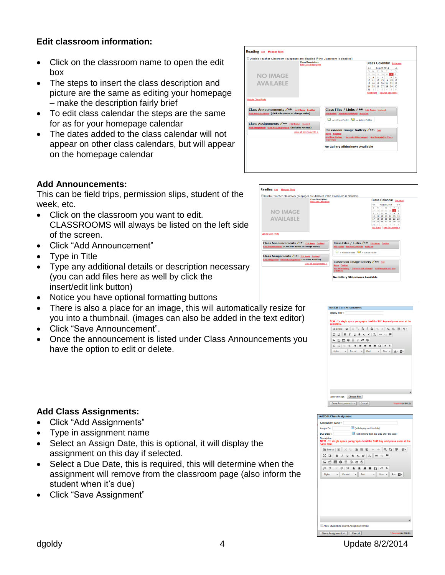# **Edit classroom information:**

- Click on the classroom name to open the edit box
- The steps to insert the class description and picture are the same as editing your homepage – make the description fairly brief
- To edit class calendar the steps are the same for as for your homepage calendar
- The dates added to the class calendar will not appear on other class calendars, but will appear on the homepage calendar

|                                                                                                     | <b>Class Description:</b><br><b>Edit Class Description</b> | Class Calendar Edit name                                                                                 |
|-----------------------------------------------------------------------------------------------------|------------------------------------------------------------|----------------------------------------------------------------------------------------------------------|
|                                                                                                     |                                                            | August 2014<br>ee.<br>55                                                                                 |
|                                                                                                     |                                                            | T F S<br>s.<br>$M$ T<br>w                                                                                |
| <b>NO IMAGE</b>                                                                                     |                                                            | 27<br>28 29 30 31 1 2<br>$\overline{\mathbf{3}}$<br>4<br>5<br>6<br>7 <sup>1</sup><br>8 <sup>1</sup><br>9 |
|                                                                                                     |                                                            | 10 11 12 13 14 15 16                                                                                     |
| <b>AVAILABLE</b>                                                                                    |                                                            | 17 18 19 20 21 22 23                                                                                     |
|                                                                                                     |                                                            | 24 25 26 27 28 29 30<br>$1 \mid 2 \mid 3 \mid 4 \mid 5 \mid 6$<br>31                                     |
|                                                                                                     |                                                            | Add Event   view full calendar >                                                                         |
| <b>Update Class Photo</b>                                                                           |                                                            |                                                                                                          |
| Class Announcements / Edit Edit Name Enabled<br>Add Announcement (Click Edit above to change order) |                                                            | Class Files / Links / Edit Edit Name Enabled<br>Add Folder Add File/Download Add Link                    |
|                                                                                                     |                                                            | - Hidden Folder - Active Folder                                                                          |
| <b>Class Assignments / Edit Edit Name Enabled</b>                                                   |                                                            |                                                                                                          |
| Add Assignment View All Assignments (includes Archive)                                              | view all assignments $>$                                   | <b>Classroom Image Gallery</b> ∠Edit Edit                                                                |
|                                                                                                     | Name Enabled                                               |                                                                                                          |
|                                                                                                     |                                                            | Add New Gallery (re-order/title change) Add Image(s) to Class                                            |
|                                                                                                     | Slideshow                                                  |                                                                                                          |

Reading East Manage Blog Disable Teacher Classro

> **NO IMAGE AVAILABLE**

Class Announcements Ledit Edit Name E

**Class Assignments / Edit** Edit

# **Add Announcements:**

This can be field trips, permission slips, student of the week, etc.

- Click on the classroom you want to edit. CLASSROOMS will always be listed on the left side of the screen.
- Click "Add Announcement"
- Type in Title
- Type any additional details or description necessary (you can add files here as well by click the insert/edit link button)
- Notice you have optional formatting buttons
- There is also a place for an image, this will automatically resize for you into a thumbnail. (images can also be added in the text editor)
- Click "Save Announcement".
- Once the announcement is listed under Class Announcements you have the option to edit or delete.



Class Files / Links Z Edit Edit Name

**Classroom Image Gallery**  Ldit Edit

 $\Box$  = Hidden Folder  $\Box$  = Active Folder

No Gallery Slideshows Available

Class Calendar Edit

### Assignment Name \* (will display on this date) Assign On: (will remove from live side after this da Due Date \*: :<br>NEW - To single sp ragraphs hold the Shift key and press et  $\boxed{\text{\texttt{\textbf{Q}}}}$  Source  $\boxed{\text{\textbf{R}}}$   $\boxed{\text{\textbf{X}}}$   $\boxed{\text{\textbf{R}}}$   $\boxed{\text{\textbf{R}}}$   $\boxed{\textbf{R}}$   $\boxed{\textbf{A}}$   $\boxed{\textbf{A}}$   $\boxed{\textbf{Q}}$   $\boxed{\textbf{Q}}$   $\boxed{\textbf{S}}$   $\boxed{\textbf{H}}$   $\boxed{\textbf{S}}$   $\boxed{\textbf{W}}$  $\boxed{ \begin{array}{ccc} \Xi & \Xi \end{array} \begin{array}{ccc} \Xi & \Xi \end{array} \begin{array}{ccc} \Xi & \Xi & \Xi \end{array} \begin{array}{ccc} \Xi & \Xi & \Xi \end{array} \begin{array}{ccc} \Xi & \Xi & \Xi \end{array} \begin{array}{ccc} \Xi & \Xi & \Xi \end{array} \begin{array}{ccc} \Xi & \Xi & \Xi \end{array} \begin{array}{ccc} \Xi & \Xi & \Xi \end{array} \begin{array}{ccc} \Xi & \Xi & \Xi \end{array} \begin{array}{ccc} \Xi & \Xi & \Xi \end{array} \begin{array}{ccc} \Xi & \Xi & \Xi \end{array} \begin{$  $\left|\mathbb{I}\right|\ \mathbb{I}\ \left|\mathbb{I}\right|\ \mathbb{I}\ \ \mathbb{H}\ \left|\mathbb{I}\right|\ \mathbb{I}\ \ \mathbb{I}\ \ \mathbb{I}\ \ \mathbb{I}\ \ \mathbb{I}\ \ \mathbb{I}\ \ \mathbb{I}\ \ \mathbb{I}\ \ \mathbb{I}\ \ \mathbb{I}\ \ \mathbb{I}\ \ \mathbb{I}\ \ \mathbb{I}\ \ \mathbb{I}\ \ \mathbb{I}\ \ \mathbb{I}\ \ \mathbb{I}\ \ \mathbb{I}\ \ \mathbb{I}\ \ \mathbb{I}\ \ \mathbb{I}\ \ \mathbb{I}\ \ \mathbb{I}\ \ \mathbb{I}\ \ \mathbb$  $\cdot$  Size  $\cdot$  A  $\cdot$  M  $\cdot$ Format  $\overline{\phantom{a}}$  Font Allow Students to Submit Assis Save Assignment >> Cancel

# **Add Class Assignments:**

- Click "Add Assignments"
- Type in assignment name
- Select an Assign Date, this is optional, it will display the assignment on this day if selected.
- Select a Due Date, this is required, this will determine when the assignment will remove from the classroom page (also inform the student when it's due)
- Click "Save Assignment"

dgoldy dgold and the Update 8/2/2014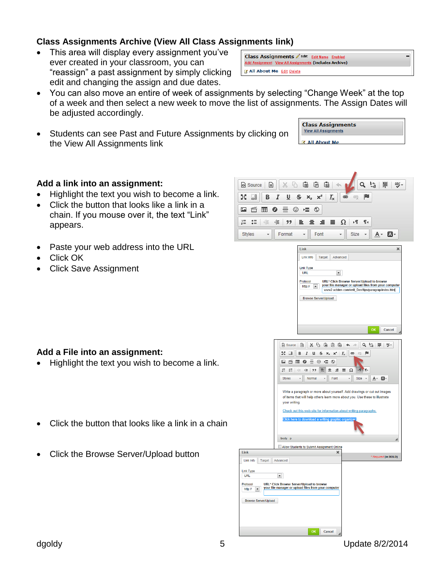# **Class Assignments Archive (View All Class Assignments link)**

- This area will display every assignment you've ever created in your classroom, you can "reassign" a past assignment by simply clicking edit and changing the assign and due dates.
- You can also move an entire of week of assignments by selecting "Change Week" at the top of a week and then select a new week to move the list of assignments. The Assign Dates will be adjusted accordingly.

**Add Assign** 

Z All About Me Edit Delete

 Students can see Past and Future Assignments by clicking on the View All Assignments link

# **Add a link into an assignment:**

- Highlight the text you wish to become a link.
- Click the button that looks like a link in a chain. If you mouse over it, the text "Link" appears.
- Paste your web address into the URL
- Click OK
- Click Save Assignment

# **Add a File into an assignment:**

- Highlight the text you wish to become a link.
- Click the button that looks like a link in a chain
- Click the Browse Server/Upload button

| 信<br>個<br>ħ<br>侣<br>钧<br>ABC-<br>檃<br><>>Source<br>目<br>X                                                                                       |
|-------------------------------------------------------------------------------------------------------------------------------------------------|
| 59<br>x <sub>s</sub><br>U<br>s<br>UU<br>в<br>I<br>$I_{\times}$<br>μ<br>×,<br>œ<br>eg                                                            |
| €<br>❤<br>⊞                                                                                                                                     |
| ∷<br>۰¶<br>¶۹<br>ΗĒ<br>∹ ≣<br>Ω<br>99<br>≡<br>≡                                                                                                 |
| Styles<br>Format<br>Font<br>Size<br>A٠<br>A۰                                                                                                    |
|                                                                                                                                                 |
| Link<br>×                                                                                                                                       |
| Link Info<br>Target<br>Advanced                                                                                                                 |
| <b>Link Type</b>                                                                                                                                |
| $\blacktriangledown$<br><b>URL</b><br>Protocol<br>URL* Click Browse Server/Upload to browse                                                     |
| your file manager or upload files from your computer<br>http://<br>$\blacksquare$<br>www2.actden.com/writ_Den/tips/paragrap/index.htm           |
| <b>Browse Server/Upload</b>                                                                                                                     |
|                                                                                                                                                 |
|                                                                                                                                                 |
| OK<br>Cancel                                                                                                                                    |
|                                                                                                                                                 |
| G<br>۹<br>녆<br>▣<br>X<br>G<br>G<br>G<br>厚<br>眵.<br>o Source<br>$\blacklozenge$                                                                  |
| 통증<br>I<br>s<br>F<br>IJ<br>В<br>⊍<br>$\times^2$<br>$\mathbf{I}_{\mathsf{x}}$<br>⊜<br>$\mathsf{x}_\mathsf{z}$<br>e                               |
| 箮<br>☺<br>福め<br><u>مہ</u><br>⊞<br>◎                                                                                                             |
| $\P$<br>$\frac{1}{2}$<br>$\mathbf{C}^*$<br>4월<br>非<br>99<br>亖<br>亖<br>亖<br>≣<br>Ω<br>▶¶                                                         |
| Font<br><b>Size</b><br><b>Styles</b><br>Normal<br>A -<br>Δ.<br>٠<br>٠<br><b>+</b>                                                               |
| Write a paragraph or more about yourself. Add drawings or cut out images                                                                        |
| of items that will help others learn more about you. Use these to illustrate<br>your writing.                                                   |
| Check out this web site for information about writing paragraphs.                                                                               |
| Click here to download a writing graphic organize                                                                                               |
|                                                                                                                                                 |
| body p<br>◢                                                                                                                                     |
| Allow Students to Submit Assignment Online<br>Link<br>×                                                                                         |
| * Required (in BOLD)<br>Target<br>Advanced<br>Link Info                                                                                         |
| Link Type                                                                                                                                       |
| ▾<br><b>URL</b>                                                                                                                                 |
| URL* Click Browse Server/Upload to browse<br>Protocol<br>your file manager or upload files from your computer<br>http://<br>$\vert \cdot \vert$ |
| <b>Browse Server/Upload</b>                                                                                                                     |
|                                                                                                                                                 |
|                                                                                                                                                 |
|                                                                                                                                                 |
| OK<br>Cancel                                                                                                                                    |

**Class Assignments View All Assignments Z All About Me** 



Class Assignments Z Edit Edit Name Enabled

nent View All Assignments (includes Archive)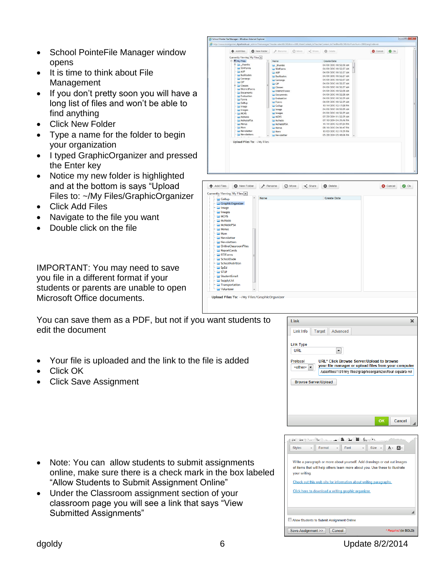- School PointeFile Manager window opens
- It is time to think about File Management
- If you don't pretty soon you will have a long list of files and won't be able to find anything
- Click New Folder
- Type a name for the folder to begin your organization
- I typed GraphicOrganizer and pressed the Enter key
- Notice my new folder is highlighted and at the bottom is says "Upload Files to: ~/My Files/GraphicOrganizer
- Click Add Files
- Navigate to the file you want
- Double click on the file

IMPORTANT: You may need to save you file in a different format if your students or parents are unable to open Microsoft Office documents.

You can save them as a PDF, but not if you want students to edit the document

- Your file is uploaded and the link to the file is added
- Click OK
- Click Save Assignment

- Note: You can allow students to submit assignments online, make sure there is a check mark in the box labeled "Allow Students to Submit Assignment Online"
- Under the Classroom assignment section of your classroom page you will see a link that says "View Submitted Assignments"





| of items that will help others learn more about you. Use these to illustrate<br>your writing. |
|-----------------------------------------------------------------------------------------------|
| Check out this web site for information about writing paragraphs.                             |
| Click here to download a writing graphic organizer.                                           |
|                                                                                               |
|                                                                                               |
| Allow Students to Submit Assignment Online                                                    |
|                                                                                               |
| Save Assignment >><br>Cancel<br>* Required (in BOLD)                                          |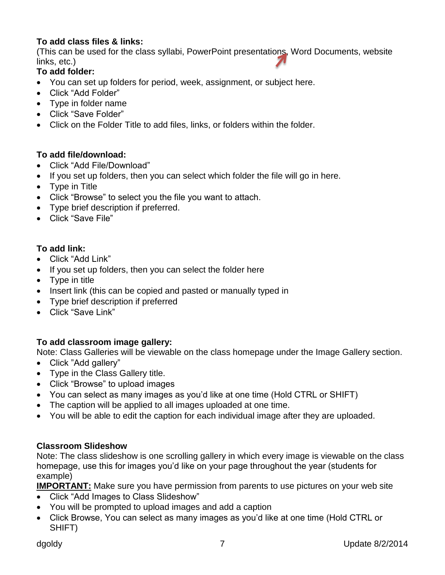# **To add class files & links:**

(This can be used for the class syllabi, PowerPoint presentations, Word Documents, website links, etc.)

# **To add folder:**

- You can set up folders for period, week, assignment, or subject here.
- Click "Add Folder"
- Type in folder name
- Click "Save Folder"
- Click on the Folder Title to add files, links, or folders within the folder.

# **To add file/download:**

- Click "Add File/Download"
- If you set up folders, then you can select which folder the file will go in here.
- Type in Title
- Click "Browse" to select you the file you want to attach.
- Type brief description if preferred.
- Click "Save File"

# **To add link:**

- Click "Add Link"
- If you set up folders, then you can select the folder here
- Type in title
- Insert link (this can be copied and pasted or manually typed in
- Type brief description if preferred
- Click "Save Link"

# **To add classroom image gallery:**

Note: Class Galleries will be viewable on the class homepage under the Image Gallery section.

- Click "Add gallery"
- Type in the Class Gallery title.
- Click "Browse" to upload images
- You can select as many images as you'd like at one time (Hold CTRL or SHIFT)
- The caption will be applied to all images uploaded at one time.
- You will be able to edit the caption for each individual image after they are uploaded.

# **Classroom Slideshow**

Note: The class slideshow is one scrolling gallery in which every image is viewable on the class homepage, use this for images you'd like on your page throughout the year (students for example)

**IMPORTANT:** Make sure you have permission from parents to use pictures on your web site

- Click "Add Images to Class Slideshow"
- You will be prompted to upload images and add a caption
- Click Browse, You can select as many images as you'd like at one time (Hold CTRL or SHIFT)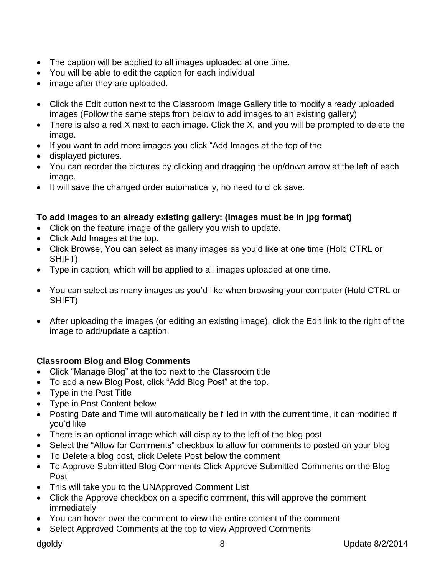- The caption will be applied to all images uploaded at one time.
- You will be able to edit the caption for each individual
- image after they are uploaded.
- Click the Edit button next to the Classroom Image Gallery title to modify already uploaded images (Follow the same steps from below to add images to an existing gallery)
- There is also a red X next to each image. Click the X, and you will be prompted to delete the image.
- If you want to add more images you click "Add Images at the top of the
- displayed pictures.
- You can reorder the pictures by clicking and dragging the up/down arrow at the left of each image.
- It will save the changed order automatically, no need to click save.

# **To add images to an already existing gallery: (Images must be in jpg format)**

- Click on the feature image of the gallery you wish to update.
- Click Add Images at the top.
- Click Browse, You can select as many images as you'd like at one time (Hold CTRL or SHIFT)
- Type in caption, which will be applied to all images uploaded at one time.
- You can select as many images as you'd like when browsing your computer (Hold CTRL or SHIFT)
- After uploading the images (or editing an existing image), click the Edit link to the right of the image to add/update a caption.

# **Classroom Blog and Blog Comments**

- Click "Manage Blog" at the top next to the Classroom title
- To add a new Blog Post, click "Add Blog Post" at the top.
- Type in the Post Title
- Type in Post Content below
- Posting Date and Time will automatically be filled in with the current time, it can modified if you'd like
- There is an optional image which will display to the left of the blog post
- Select the "Allow for Comments" checkbox to allow for comments to posted on your blog
- To Delete a blog post, click Delete Post below the comment
- To Approve Submitted Blog Comments Click Approve Submitted Comments on the Blog Post
- This will take you to the UNApproved Comment List
- Click the Approve checkbox on a specific comment, this will approve the comment immediately
- You can hover over the comment to view the entire content of the comment
- Select Approved Comments at the top to view Approved Comments